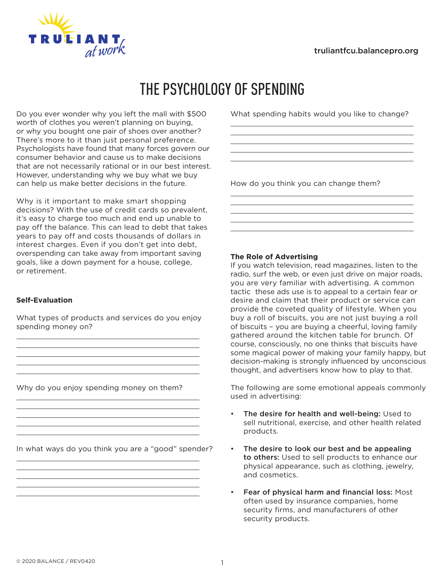

# THE PSYCHOLOGY OF SPENDING

Do you ever wonder why you left the mall with \$500 worth of clothes you weren't planning on buying, or why you bought one pair of shoes over another? There's more to it than just personal preference. Psychologists have found that many forces govern our consumer behavior and cause us to make decisions that are not necessarily rational or in our best interest. However, understanding why we buy what we buy can help us make better decisions in the future.

Why is it important to make smart shopping decisions? With the use of credit cards so prevalent, it's easy to charge too much and end up unable to pay off the balance. This can lead to debt that takes years to pay off and costs thousands of dollars in interest charges. Even if you don't get into debt, overspending can take away from important saving goals, like a down payment for a house, college, or retirement.

# **Self-Evaluation**

What types of products and services do you enjoy spending money on?

<u> 1980 - Johann Barbara, martxa alemaniar amerikan a</u>

Why do you enjoy spending money on them?

In what ways do you think you are a "good" spender?

<u> 1989 - Johann Stoff, deutscher Stoff, der Stoff, der Stoff, der Stoff, der Stoff, der Stoff, der Stoff, der S</u>

<u> 1989 - Johann Stein, marwolaethau a bhann an t-Amhainn an t-Amhainn an t-Amhainn an t-Amhainn an t-Amhainn a</u> <u> 1989 - Johann Barn, mars ann an t-Amhain Aonaichte ann an t-Aonaichte ann an t-Aonaichte ann an t-Aonaichte a</u>

What spending habits would you like to change?

<u> 1989 - Johann Barbara, martxa alemaniar arg</u> <u> 1989 - Johann Barn, amerikansk politiker (d. 1989)</u> 

How do you think you can change them?

# **The Role of Advertising**

If you watch television, read magazines, listen to the radio, surf the web, or even just drive on major roads, you are very familiar with advertising. A common tactic these ads use is to appeal to a certain fear or desire and claim that their product or service can provide the coveted quality of lifestyle. When you buy a roll of biscuits, you are not just buying a roll of biscuits – you are buying a cheerful, loving family gathered around the kitchen table for brunch. Of course, consciously, no one thinks that biscuits have some magical power of making your family happy, but decision-making is strongly influenced by unconscious thought, and advertisers know how to play to that.

The following are some emotional appeals commonly used in advertising:

- The desire for health and well-being: Used to sell nutritional, exercise, and other health related products.
- The desire to look our best and be appealing to others: Used to sell products to enhance our physical appearance, such as clothing, jewelry, and cosmetics.
- Fear of physical harm and financial loss: Most often used by insurance companies, home security firms, and manufacturers of other security products.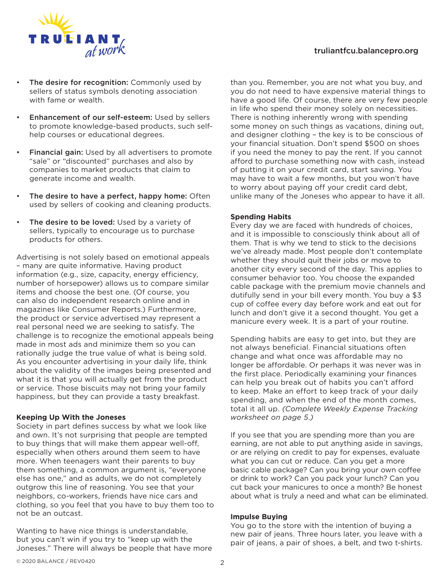# truliantfcu.balancepro.org



- The desire for recognition: Commonly used by sellers of status symbols denoting association with fame or wealth.
- Enhancement of our self-esteem: Used by sellers to promote knowledge-based products, such selfhelp courses or educational degrees.
- Financial gain: Used by all advertisers to promote "sale" or "discounted" purchases and also by companies to market products that claim to generate income and wealth.
- The desire to have a perfect, happy home: Often used by sellers of cooking and cleaning products.
- The desire to be loved: Used by a variety of sellers, typically to encourage us to purchase products for others.

Advertising is not solely based on emotional appeals – many are quite informative. Having product information (e.g., size, capacity, energy efficiency, number of horsepower) allows us to compare similar items and choose the best one. (Of course, you can also do independent research online and in magazines like Consumer Reports.) Furthermore, the product or service advertised may represent a real personal need we are seeking to satisfy. The challenge is to recognize the emotional appeals being made in most ads and minimize them so you can rationally judge the true value of what is being sold. As you encounter advertising in your daily life, think about the validity of the images being presented and what it is that you will actually get from the product or service. Those biscuits may not bring your family happiness, but they can provide a tasty breakfast.

## **Keeping Up With the Joneses**

Society in part defines success by what we look like and own. It's not surprising that people are tempted to buy things that will make them appear well-off, especially when others around them seem to have more. When teenagers want their parents to buy them something, a common argument is, "everyone else has one," and as adults, we do not completely outgrow this line of reasoning. You see that your neighbors, co-workers, friends have nice cars and clothing, so you feel that you have to buy them too to not be an outcast.

Wanting to have nice things is understandable, but you can't win if you try to "keep up with the Joneses." There will always be people that have more

than you. Remember, you are not what you buy, and you do not need to have expensive material things to have a good life. Of course, there are very few people in life who spend their money solely on necessities. There is nothing inherently wrong with spending some money on such things as vacations, dining out, and designer clothing – the key is to be conscious of your financial situation. Don't spend \$500 on shoes if you need the money to pay the rent. If you cannot afford to purchase something now with cash, instead of putting it on your credit card, start saving. You may have to wait a few months, but you won't have to worry about paying off your credit card debt, unlike many of the Joneses who appear to have it all.

# **Spending Habits**

Every day we are faced with hundreds of choices, and it is impossible to consciously think about all of them. That is why we tend to stick to the decisions we've already made. Most people don't contemplate whether they should quit their jobs or move to another city every second of the day. This applies to consumer behavior too. You choose the expanded cable package with the premium movie channels and dutifully send in your bill every month. You buy a \$3 cup of coffee every day before work and eat out for lunch and don't give it a second thought. You get a manicure every week. It is a part of your routine.

Spending habits are easy to get into, but they are not always beneficial. Financial situations often change and what once was affordable may no longer be affordable. Or perhaps it was never was in the first place. Periodically examining your finances can help you break out of habits you can't afford to keep. Make an effort to keep track of your daily spending, and when the end of the month comes, total it all up. *(Complete Weekly Expense Tracking worksheet on page 5.)*

If you see that you are spending more than you are earning, are not able to put anything aside in savings, or are relying on credit to pay for expenses, evaluate what you can cut or reduce. Can you get a more basic cable package? Can you bring your own coffee or drink to work? Can you pack your lunch? Can you cut back your manicures to once a month? Be honest about what is truly a need and what can be eliminated.

## **Impulse Buying**

You go to the store with the intention of buying a new pair of jeans. Three hours later, you leave with a pair of jeans, a pair of shoes, a belt, and two t-shirts.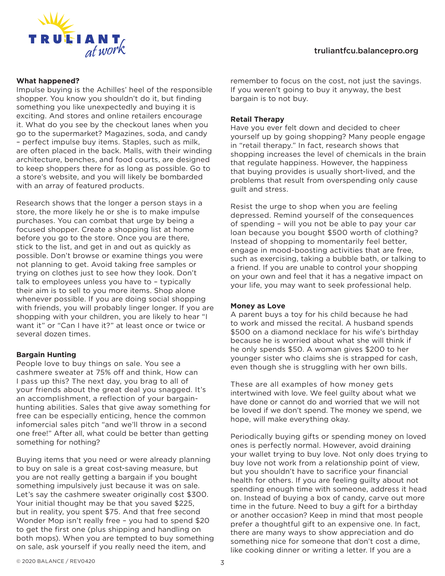

## **What happened?**

Impulse buying is the Achilles' heel of the responsible shopper. You know you shouldn't do it, but finding something you like unexpectedly and buying it is exciting. And stores and online retailers encourage it. What do you see by the checkout lanes when you go to the supermarket? Magazines, soda, and candy – perfect impulse buy items. Staples, such as milk, are often placed in the back. Malls, with their winding architecture, benches, and food courts, are designed to keep shoppers there for as long as possible. Go to a store's website, and you will likely be bombarded with an array of featured products.

Research shows that the longer a person stays in a store, the more likely he or she is to make impulse purchases. You can combat that urge by being a focused shopper. Create a shopping list at home before you go to the store. Once you are there, stick to the list, and get in and out as quickly as possible. Don't browse or examine things you were not planning to get. Avoid taking free samples or trying on clothes just to see how they look. Don't talk to employees unless you have to – typically their aim is to sell to you more items. Shop alone whenever possible. If you are doing social shopping with friends, you will probably linger longer. If you are shopping with your children, you are likely to hear "I want it" or "Can I have it?" at least once or twice or several dozen times.

## **Bargain Hunting**

People love to buy things on sale. You see a cashmere sweater at 75% off and think, How can I pass up this? The next day, you brag to all of your friends about the great deal you snagged. It's an accomplishment, a reflection of your bargainhunting abilities. Sales that give away something for free can be especially enticing, hence the common infomercial sales pitch "and we'll throw in a second one free!" After all, what could be better than getting something for nothing?

Buying items that you need or were already planning to buy on sale is a great cost-saving measure, but you are not really getting a bargain if you bought something impulsively just because it was on sale. Let's say the cashmere sweater originally cost \$300. Your initial thought may be that you saved \$225, but in reality, you spent \$75. And that free second Wonder Mop isn't really free – you had to spend \$20 to get the first one (plus shipping and handling on both mops). When you are tempted to buy something on sale, ask yourself if you really need the item, and

remember to focus on the cost, not just the savings. If you weren't going to buy it anyway, the best bargain is to not buy.

#### **Retail Therapy**

Have you ever felt down and decided to cheer yourself up by going shopping? Many people engage in "retail therapy." In fact, research shows that shopping increases the level of chemicals in the brain that regulate happiness. However, the happiness that buying provides is usually short-lived, and the problems that result from overspending only cause guilt and stress.

Resist the urge to shop when you are feeling depressed. Remind yourself of the consequences of spending – will you not be able to pay your car loan because you bought \$500 worth of clothing? Instead of shopping to momentarily feel better, engage in mood-boosting activities that are free, such as exercising, taking a bubble bath, or talking to a friend. If you are unable to control your shopping on your own and feel that it has a negative impact on your life, you may want to seek professional help.

#### **Money as Love**

A parent buys a toy for his child because he had to work and missed the recital. A husband spends \$500 on a diamond necklace for his wife's birthday because he is worried about what she will think if he only spends \$50. A woman gives \$200 to her younger sister who claims she is strapped for cash, even though she is struggling with her own bills.

These are all examples of how money gets intertwined with love. We feel guilty about what we have done or cannot do and worried that we will not be loved if we don't spend. The money we spend, we hope, will make everything okay.

Periodically buying gifts or spending money on loved ones is perfectly normal. However, avoid draining your wallet trying to buy love. Not only does trying to buy love not work from a relationship point of view, but you shouldn't have to sacrifice your financial health for others. If you are feeling guilty about not spending enough time with someone, address it head on. Instead of buying a box of candy, carve out more time in the future. Need to buy a gift for a birthday or another occasion? Keep in mind that most people prefer a thoughtful gift to an expensive one. In fact, there are many ways to show appreciation and do something nice for someone that don't cost a dime, like cooking dinner or writing a letter. If you are a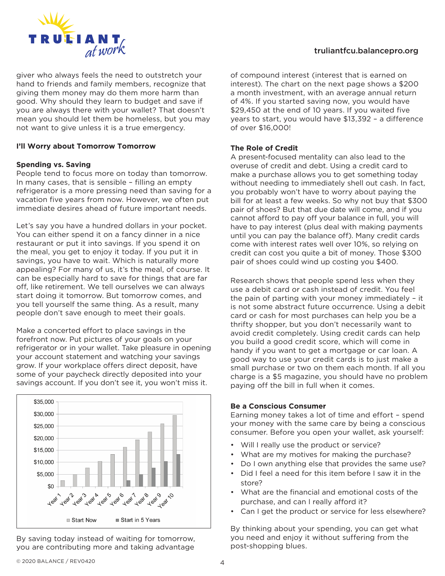

giver who always feels the need to outstretch your hand to friends and family members, recognize that giving them money may do them more harm than good. Why should they learn to budget and save if you are always there with your wallet? That doesn't mean you should let them be homeless, but you may not want to give unless it is a true emergency.

# **I'll Worry about Tomorrow Tomorrow**

# **Spending vs. Saving**

People tend to focus more on today than tomorrow. In many cases, that is sensible – filling an empty refrigerator is a more pressing need than saving for a vacation five years from now. However, we often put immediate desires ahead of future important needs.

Let's say you have a hundred dollars in your pocket. You can either spend it on a fancy dinner in a nice restaurant or put it into savings. If you spend it on the meal, you get to enjoy it today. If you put it in savings, you have to wait. Which is naturally more appealing? For many of us, it's the meal, of course. It can be especially hard to save for things that are far off, like retirement. We tell ourselves we can always start doing it tomorrow. But tomorrow comes, and you tell yourself the same thing. As a result, many people don't save enough to meet their goals.

Make a concerted effort to place savings in the forefront now. Put pictures of your goals on your refrigerator or in your wallet. Take pleasure in opening your account statement and watching your savings grow. If your workplace offers direct deposit, have some of your paycheck directly deposited into your savings account. If you don't see it, you won't miss it.



By saving today instead of waiting for tomorrow, you are contributing more and taking advantage

# truliantfcu.balancepro.org

of compound interest (interest that is earned on interest). The chart on the next page shows a \$200 a month investment, with an average annual return of 4%. If you started saving now, you would have \$29,450 at the end of 10 years. If you waited five years to start, you would have \$13,392 – a difference of over \$16,000!

# **The Role of Credit**

A present-focused mentality can also lead to the overuse of credit and debt. Using a credit card to make a purchase allows you to get something today without needing to immediately shell out cash. In fact, you probably won't have to worry about paying the bill for at least a few weeks. So why not buy that \$300 pair of shoes? But that due date will come, and if you cannot afford to pay off your balance in full, you will have to pay interest (plus deal with making payments until you can pay the balance off). Many credit cards come with interest rates well over 10%, so relying on credit can cost you quite a bit of money. Those \$300 pair of shoes could wind up costing you \$400.

Research shows that people spend less when they use a debit card or cash instead of credit. You feel the pain of parting with your money immediately – it is not some abstract future occurrence. Using a debit card or cash for most purchases can help you be a thrifty shopper, but you don't necessarily want to avoid credit completely. Using credit cards can help you build a good credit score, which will come in handy if you want to get a mortgage or car loan. A good way to use your credit cards is to just make a small purchase or two on them each month. If all you charge is a \$5 magazine, you should have no problem paying off the bill in full when it comes.

# **Be a Conscious Consumer**

Earning money takes a lot of time and effort – spend your money with the same care by being a conscious consumer. Before you open your wallet, ask yourself:

- Will I really use the product or service?
- What are my motives for making the purchase?
- Do I own anything else that provides the same use?
- Did I feel a need for this item before I saw it in the store?
- What are the financial and emotional costs of the purchase, and can I really afford it?
- Can I get the product or service for less elsewhere?

By thinking about your spending, you can get what you need and enjoy it without suffering from the post-shopping blues.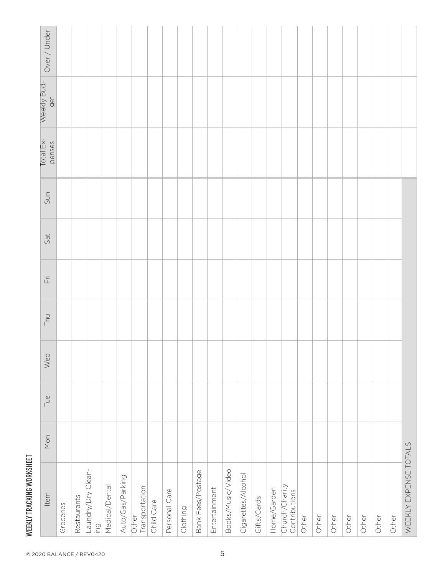| WEEKLY TRACKING WORKSHEE |     |     |     |     |    |     |
|--------------------------|-----|-----|-----|-----|----|-----|
| Item                     | Mon | Tue | Wed | Thu | Ξï | Sat |
| Groceries                |     |     |     |     |    |     |
| Restaurants              |     |     |     |     |    |     |

| Over / Under               |           |             |                                        |                |                  |                         |            |               |          |                   |               |                   |                    |             |             |                                 |       |       |       |       |       |       |       |                       |
|----------------------------|-----------|-------------|----------------------------------------|----------------|------------------|-------------------------|------------|---------------|----------|-------------------|---------------|-------------------|--------------------|-------------|-------------|---------------------------------|-------|-------|-------|-------|-------|-------|-------|-----------------------|
| Weekly Bud-<br>get         |           |             |                                        |                |                  |                         |            |               |          |                   |               |                   |                    |             |             |                                 |       |       |       |       |       |       |       |                       |
| Total Ex-<br>penses        |           |             |                                        |                |                  |                         |            |               |          |                   |               |                   |                    |             |             |                                 |       |       |       |       |       |       |       |                       |
| Sun                        |           |             |                                        |                |                  |                         |            |               |          |                   |               |                   |                    |             |             |                                 |       |       |       |       |       |       |       |                       |
| Sat                        |           |             |                                        |                |                  |                         |            |               |          |                   |               |                   |                    |             |             |                                 |       |       |       |       |       |       |       |                       |
| $\overleftarrow{\text{H}}$ |           |             |                                        |                |                  |                         |            |               |          |                   |               |                   |                    |             |             |                                 |       |       |       |       |       |       |       |                       |
| <b>LPM</b>                 |           |             |                                        |                |                  |                         |            |               |          |                   |               |                   |                    |             |             |                                 |       |       |       |       |       |       |       |                       |
| Wed                        |           |             |                                        |                |                  |                         |            |               |          |                   |               |                   |                    |             |             |                                 |       |       |       |       |       |       |       |                       |
| Tue                        |           |             |                                        |                |                  |                         |            |               |          |                   |               |                   |                    |             |             |                                 |       |       |       |       |       |       |       |                       |
| Mon                        |           |             |                                        |                |                  |                         |            |               |          |                   |               |                   |                    |             |             |                                 |       |       |       |       |       |       |       |                       |
| Item                       | Groceries | Restaurants | Laundry/Dry Clean-<br>$\overline{\Xi}$ | Medical/Dental | Auto/Gas/Parking | Transportation<br>Other | Child Care | Personal Care | Clothing | Bank Fees/Postage | Entertainment | Books/Music/Video | Cigarettes/Alcohol | Gifts/Cards | Home/Garden | Church/Charity<br>Contributions | Other | Other | Other | Other | Other | Other | Other | WEEKLY EXPENSE TOTALS |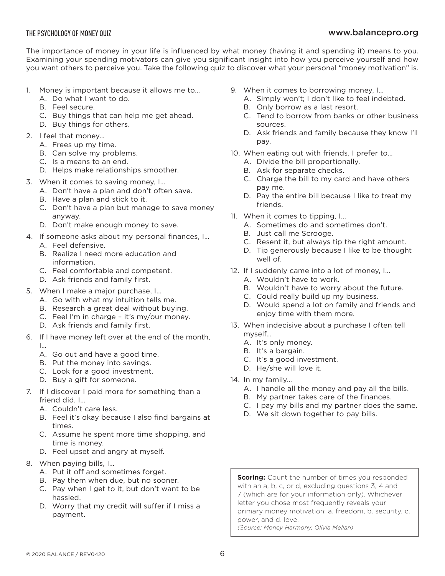# www.balancepro.org

The importance of money in your life is influenced by what money (having it and spending it) means to you. Examining your spending motivators can give you significant insight into how you perceive yourself and how you want others to perceive you. Take the following quiz to discover what your personal "money motivation" is.

- 1. Money is important because it allows me to…
	- A. Do what I want to do.
	- B. Feel secure.
	- C. Buy things that can help me get ahead.
	- D. Buy things for others.
- 2. I feel that money…
	- A. Frees up my time.
	- B. Can solve my problems.
	- C. Is a means to an end.
	- D. Helps make relationships smoother.
- 3. When it comes to saving money, I…
	- A. Don't have a plan and don't often save.
	- B. Have a plan and stick to it.
	- C. Don't have a plan but manage to save money anyway.
	- D. Don't make enough money to save.
- 4. If someone asks about my personal finances, I…
	- A. Feel defensive.
	- B. Realize I need more education and information.
	- C. Feel comfortable and competent.
	- D. Ask friends and family first.
- 5. When I make a major purchase, I…
	- A. Go with what my intuition tells me.
	- B. Research a great deal without buying.
	- C. Feel I'm in charge it's my/our money.
	- D. Ask friends and family first.
- 6. If I have money left over at the end of the month, I…
	- A. Go out and have a good time.
	- B. Put the money into savings.
	- C. Look for a good investment.
	- D. Buy a gift for someone.
- 7. If I discover I paid more for something than a friend did, I…
	- A. Couldn't care less.
	- B. Feel it's okay because I also find bargains at times.
	- C. Assume he spent more time shopping, and time is money.
	- D. Feel upset and angry at myself.
- 8. When paying bills, I…
	- A. Put it off and sometimes forget.
	- B. Pay them when due, but no sooner.
	- C. Pay when I get to it, but don't want to be hassled.
	- D. Worry that my credit will suffer if I miss a payment.
- 9. When it comes to borrowing money, I…
	- A. Simply won't; I don't like to feel indebted.
	- B. Only borrow as a last resort.
	- C. Tend to borrow from banks or other business sources.
	- D. Ask friends and family because they know I'll pay.
- 10. When eating out with friends, I prefer to…
	- A. Divide the bill proportionally.
	- B. Ask for separate checks.
	- C. Charge the bill to my card and have others pay me.
	- D. Pay the entire bill because I like to treat my friends.
- 11. When it comes to tipping, I…
	- A. Sometimes do and sometimes don't.
	- B. Just call me Scrooge.
	- C. Resent it, but always tip the right amount.
	- D. Tip generously because I like to be thought well of.
- 12. If I suddenly came into a lot of money, I...
	- A. Wouldn't have to work.
	- B. Wouldn't have to worry about the future.
	- C. Could really build up my business.
	- D. Would spend a lot on family and friends and enjoy time with them more.
- 13. When indecisive about a purchase I often tell myself…
	- A. It's only money.
	- B. It's a bargain.
	- C. It's a good investment.
	- D. He/she will love it.
- 14. In my family…
	- A. I handle all the money and pay all the bills.
	- B. My partner takes care of the finances.
	- C. I pay my bills and my partner does the same.
	- D. We sit down together to pay bills.

**Scoring:** Count the number of times you responded with an a, b, c, or d, excluding questions 3, 4 and 7 (which are for your information only). Whichever letter you chose most frequently reveals your primary money motivation: a. freedom, b. security, c. power, and d. love. *(Source: Money Harmony, Olivia Mellan)*